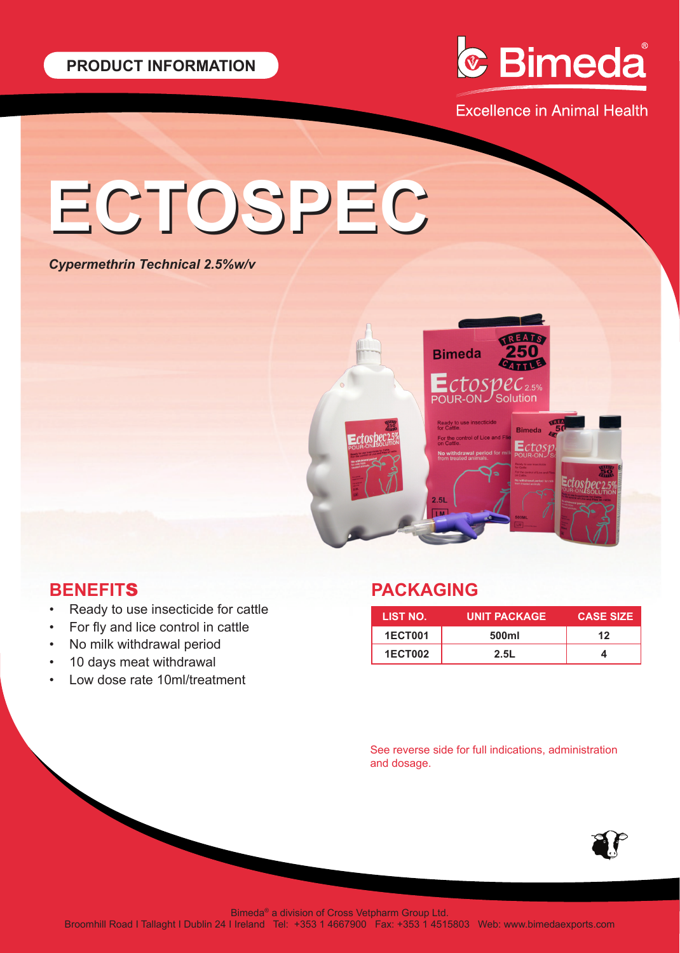

**Excellence in Animal Health** 

# **ECTOSPEC ECTOSPEC**

### *Cypermethrin Technical 2.5%w/v*



# **BENEFIT**S

- Ready to use insecticide for cattle
- For fly and lice control in cattle
- No milk withdrawal period
- 10 days meat withdrawal
- Low dose rate 10ml/treatment

# **PACKAGING**

| LIST NO.       | <b>UNIT PACKAGE</b> | <b>CASE SIZE</b> |
|----------------|---------------------|------------------|
| <b>1ECT001</b> | 500ml               | 12               |
| <b>1ECT002</b> | 2.5L                |                  |

See reverse side for full indications, administration and dosage.



Bimeda® a division of Cross Vetpharm Group Ltd.

Broomhill Road I Tallaght I Dublin 24 I Ireland Tel: +353 1 4667900 Fax: +353 1 4515803 Web: www.bimedaexports.com